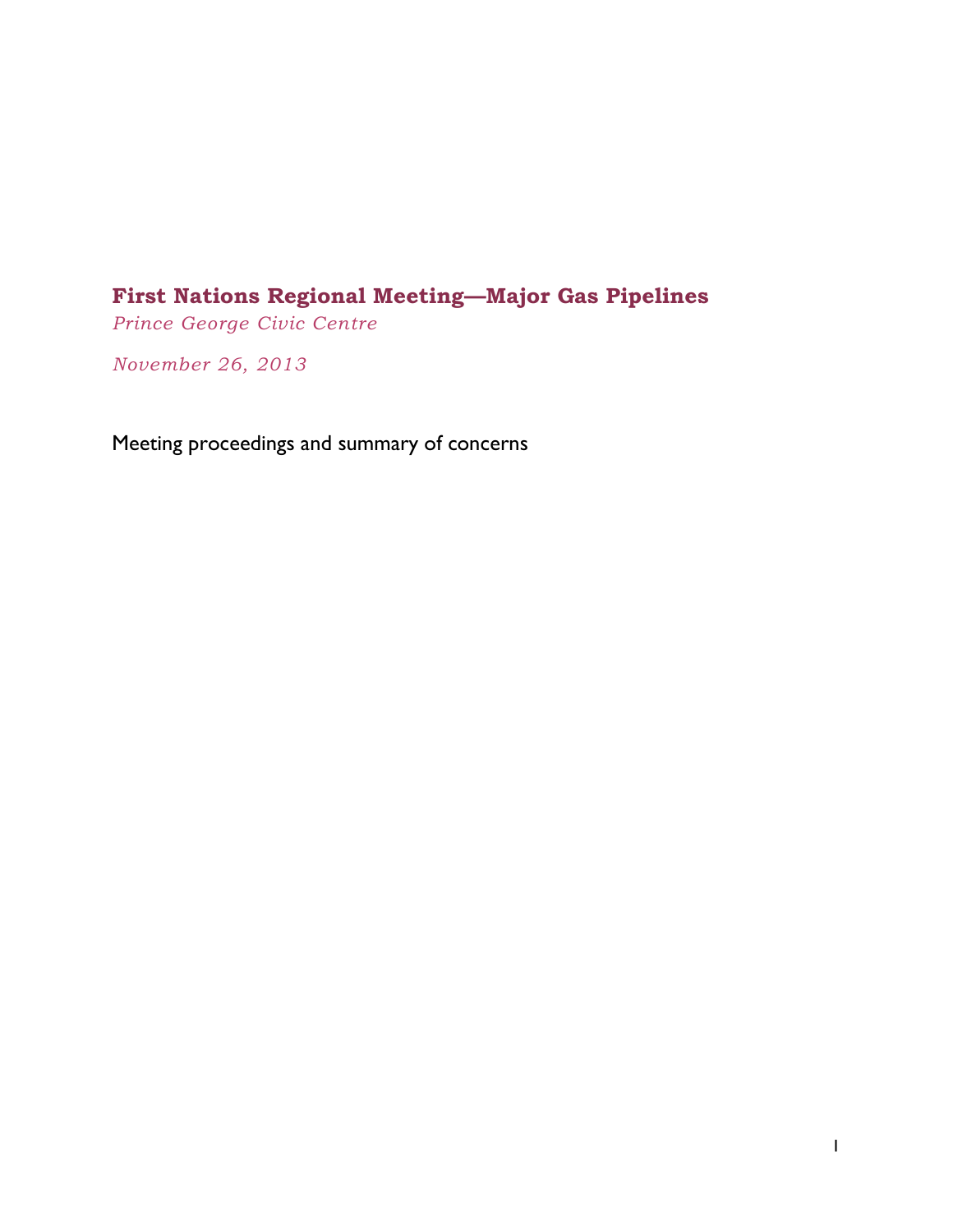# <span id="page-0-0"></span>**First Nations Regional Meeting—Major Gas Pipelines**

*Prince George Civic Centre*

*November 26, 2013*

Meeting proceedings and summary of concerns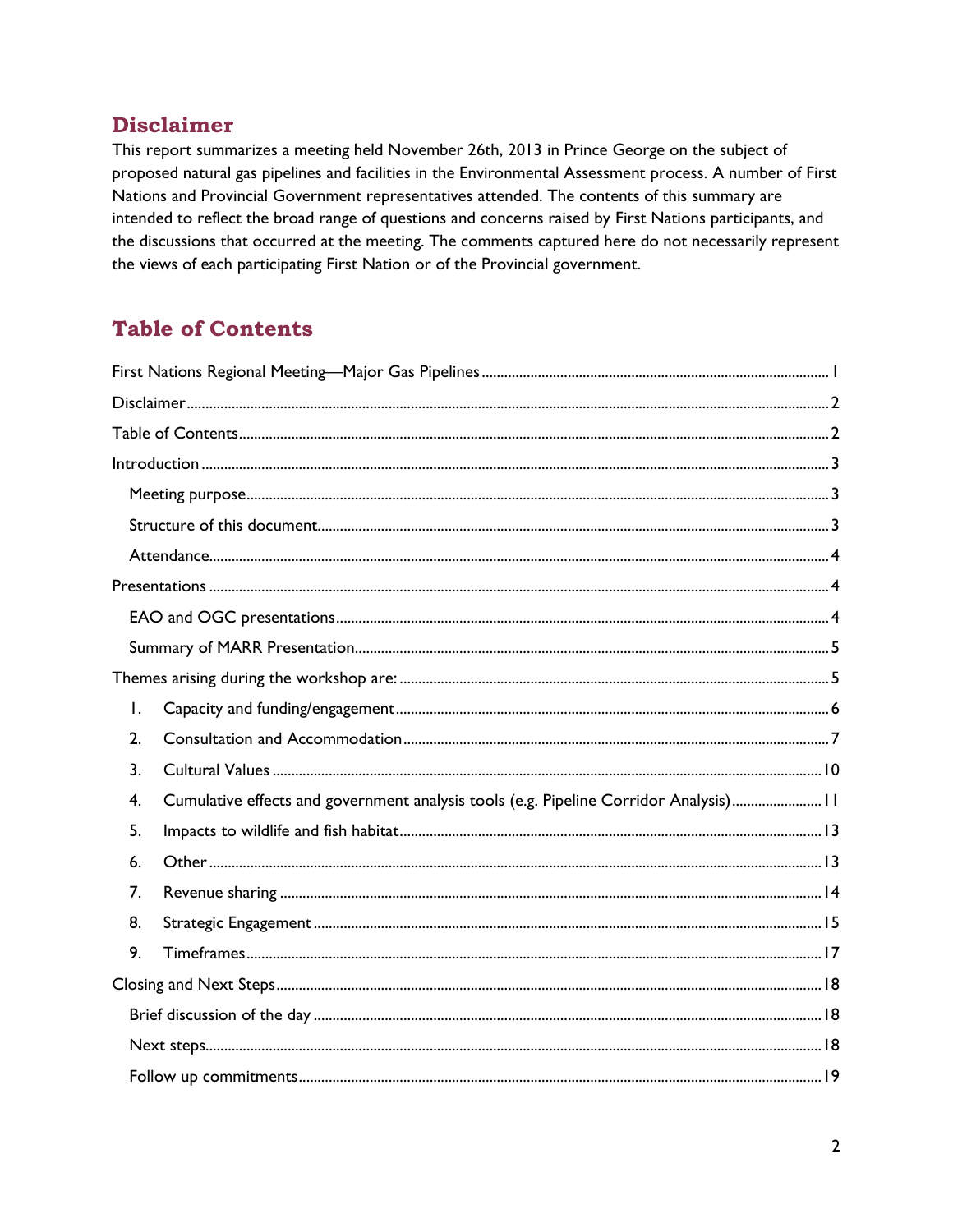## <span id="page-1-0"></span>**Disclaimer**

This report summarizes a meeting held November 26th, 2013 in Prince George on the subject of proposed natural gas pipelines and facilities in the Environmental Assessment process. A number of First Nations and Provincial Government representatives attended. The contents of this summary are intended to reflect the broad range of questions and concerns raised by First Nations participants, and the discussions that occurred at the meeting. The comments captured here do not necessarily represent the views of each participating First Nation or of the Provincial government.

# <span id="page-1-1"></span>**Table of Contents**

| Ι. |                                                                                       |  |  |
|----|---------------------------------------------------------------------------------------|--|--|
| 2. |                                                                                       |  |  |
| 3. |                                                                                       |  |  |
| 4. | Cumulative effects and government analysis tools (e.g. Pipeline Corridor Analysis) 11 |  |  |
| 5. |                                                                                       |  |  |
| 6. |                                                                                       |  |  |
| 7. |                                                                                       |  |  |
| 8. |                                                                                       |  |  |
| 9. |                                                                                       |  |  |
|    |                                                                                       |  |  |
|    |                                                                                       |  |  |
|    |                                                                                       |  |  |
|    |                                                                                       |  |  |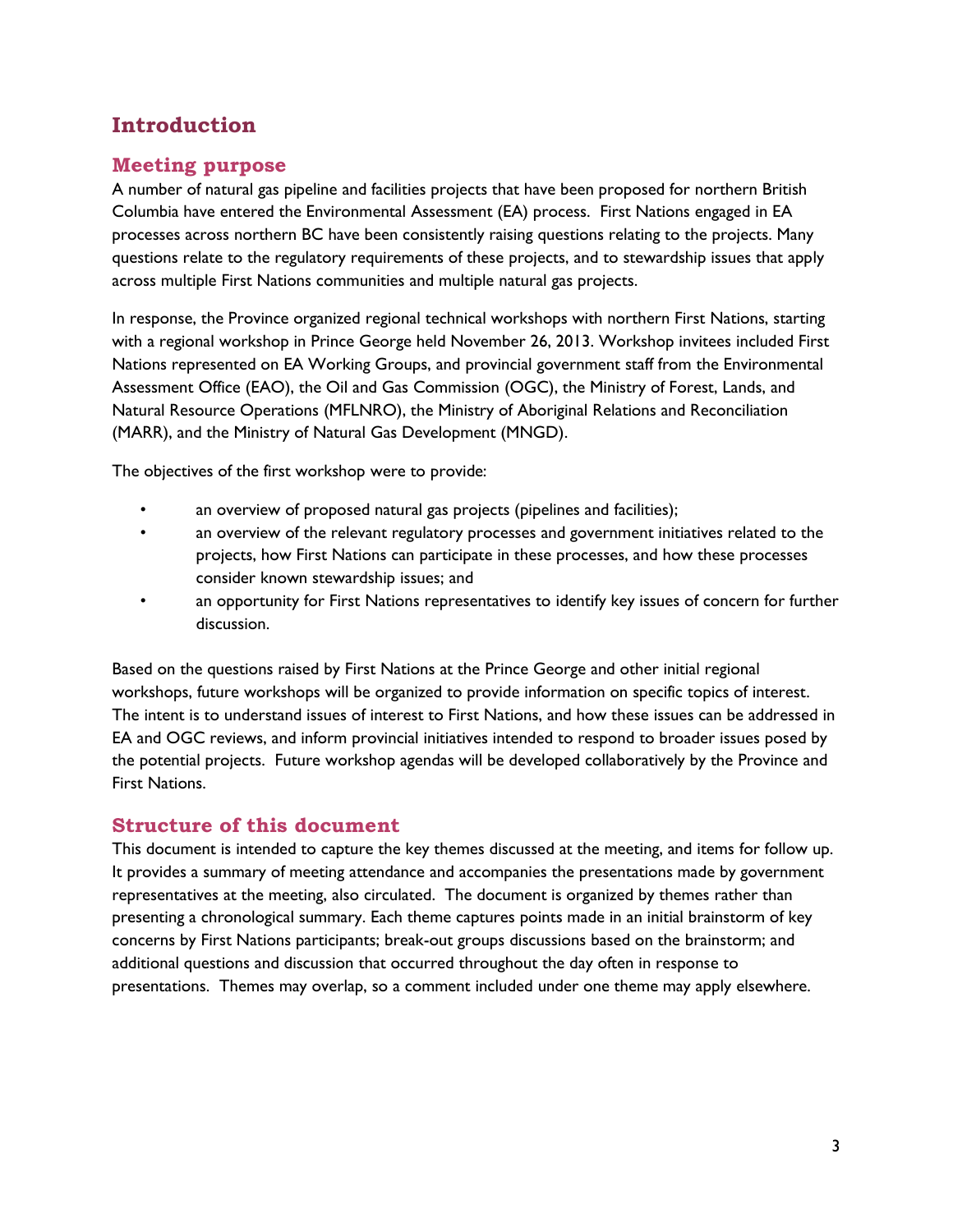# <span id="page-2-0"></span>**Introduction**

## <span id="page-2-1"></span>**Meeting purpose**

A number of natural gas pipeline and facilities projects that have been proposed for northern British Columbia have entered the Environmental Assessment (EA) process. First Nations engaged in EA processes across northern BC have been consistently raising questions relating to the projects. Many questions relate to the regulatory requirements of these projects, and to stewardship issues that apply across multiple First Nations communities and multiple natural gas projects.

In response, the Province organized regional technical workshops with northern First Nations, starting with a regional workshop in Prince George held November 26, 2013. Workshop invitees included First Nations represented on EA Working Groups, and provincial government staff from the Environmental Assessment Office (EAO), the Oil and Gas Commission (OGC), the Ministry of Forest, Lands, and Natural Resource Operations (MFLNRO), the Ministry of Aboriginal Relations and Reconciliation (MARR), and the Ministry of Natural Gas Development (MNGD).

The objectives of the first workshop were to provide:

- an overview of proposed natural gas projects (pipelines and facilities);
- an overview of the relevant regulatory processes and government initiatives related to the projects, how First Nations can participate in these processes, and how these processes consider known stewardship issues; and
- an opportunity for First Nations representatives to identify key issues of concern for further discussion.

Based on the questions raised by First Nations at the Prince George and other initial regional workshops, future workshops will be organized to provide information on specific topics of interest. The intent is to understand issues of interest to First Nations, and how these issues can be addressed in EA and OGC reviews, and inform provincial initiatives intended to respond to broader issues posed by the potential projects. Future workshop agendas will be developed collaboratively by the Province and First Nations.

## <span id="page-2-2"></span>**Structure of this document**

This document is intended to capture the key themes discussed at the meeting, and items for follow up. It provides a summary of meeting attendance and accompanies the presentations made by government representatives at the meeting, also circulated. The document is organized by themes rather than presenting a chronological summary. Each theme captures points made in an initial brainstorm of key concerns by First Nations participants; break-out groups discussions based on the brainstorm; and additional questions and discussion that occurred throughout the day often in response to presentations. Themes may overlap, so a comment included under one theme may apply elsewhere.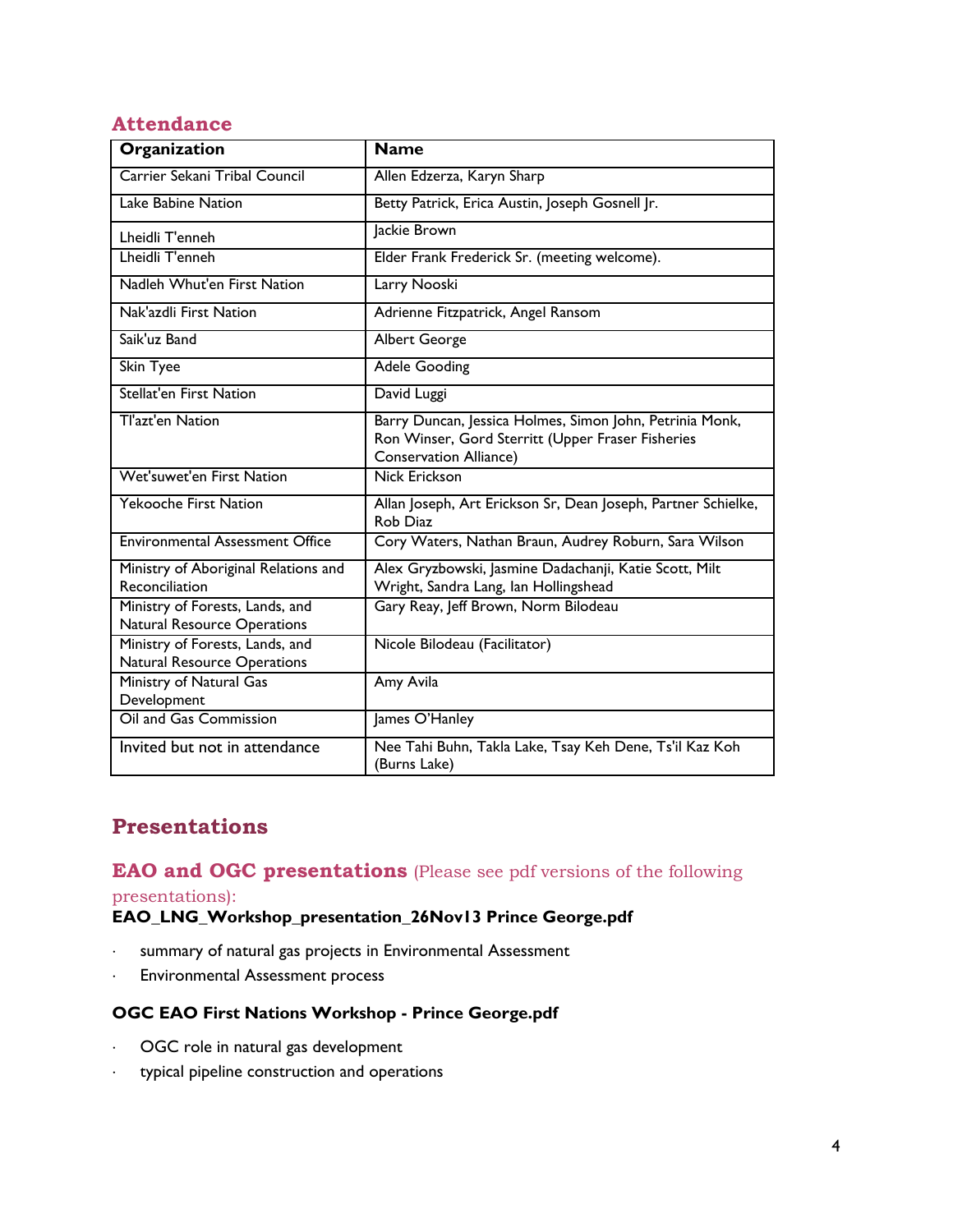## <span id="page-3-0"></span>**Attendance**

| Organization                                                          | <b>Name</b>                                                                                                                                    |
|-----------------------------------------------------------------------|------------------------------------------------------------------------------------------------------------------------------------------------|
| Carrier Sekani Tribal Council                                         | Allen Edzerza, Karyn Sharp                                                                                                                     |
| Lake Babine Nation                                                    | Betty Patrick, Erica Austin, Joseph Gosnell Jr.                                                                                                |
| Lheidli T'enneh                                                       | Jackie Brown                                                                                                                                   |
| Lheidli T'enneh                                                       | Elder Frank Frederick Sr. (meeting welcome).                                                                                                   |
| Nadleh Whut'en First Nation                                           | Larry Nooski                                                                                                                                   |
| Nak'azdli First Nation                                                | Adrienne Fitzpatrick, Angel Ransom                                                                                                             |
| Saik'uz Band                                                          | <b>Albert George</b>                                                                                                                           |
| <b>Skin Tyee</b>                                                      | <b>Adele Gooding</b>                                                                                                                           |
| <b>Stellat'en First Nation</b>                                        | David Luggi                                                                                                                                    |
| Tl'azt'en Nation                                                      | Barry Duncan, Jessica Holmes, Simon John, Petrinia Monk,<br>Ron Winser, Gord Sterritt (Upper Fraser Fisheries<br><b>Conservation Alliance)</b> |
| Wet'suwet'en First Nation                                             | <b>Nick Erickson</b>                                                                                                                           |
| <b>Yekooche First Nation</b>                                          | Allan Joseph, Art Erickson Sr, Dean Joseph, Partner Schielke,<br>Rob Diaz                                                                      |
| <b>Environmental Assessment Office</b>                                | Cory Waters, Nathan Braun, Audrey Roburn, Sara Wilson                                                                                          |
| Ministry of Aboriginal Relations and<br>Reconciliation                | Alex Gryzbowski, Jasmine Dadachanji, Katie Scott, Milt<br>Wright, Sandra Lang, Ian Hollingshead                                                |
| Ministry of Forests, Lands, and<br><b>Natural Resource Operations</b> | Gary Reay, Jeff Brown, Norm Bilodeau                                                                                                           |
| Ministry of Forests, Lands, and<br>Natural Resource Operations        | Nicole Bilodeau (Facilitator)                                                                                                                  |
| Ministry of Natural Gas<br>Development                                | Amy Avila                                                                                                                                      |
| Oil and Gas Commission                                                | James O'Hanley                                                                                                                                 |
| Invited but not in attendance                                         | Nee Tahi Buhn, Takla Lake, Tsay Keh Dene, Ts'il Kaz Koh<br>(Burns Lake)                                                                        |

# <span id="page-3-1"></span>**Presentations**

## <span id="page-3-2"></span>**EAO and OGC presentations** (Please see pdf versions of the following

presentations):

### **EAO\_LNG\_Workshop\_presentation\_26Nov13 Prince George.pdf**

- summary of natural gas projects in Environmental Assessment
- Environmental Assessment process

### **OGC EAO First Nations Workshop - Prince George.pdf**

- OGC role in natural gas development
- typical pipeline construction and operations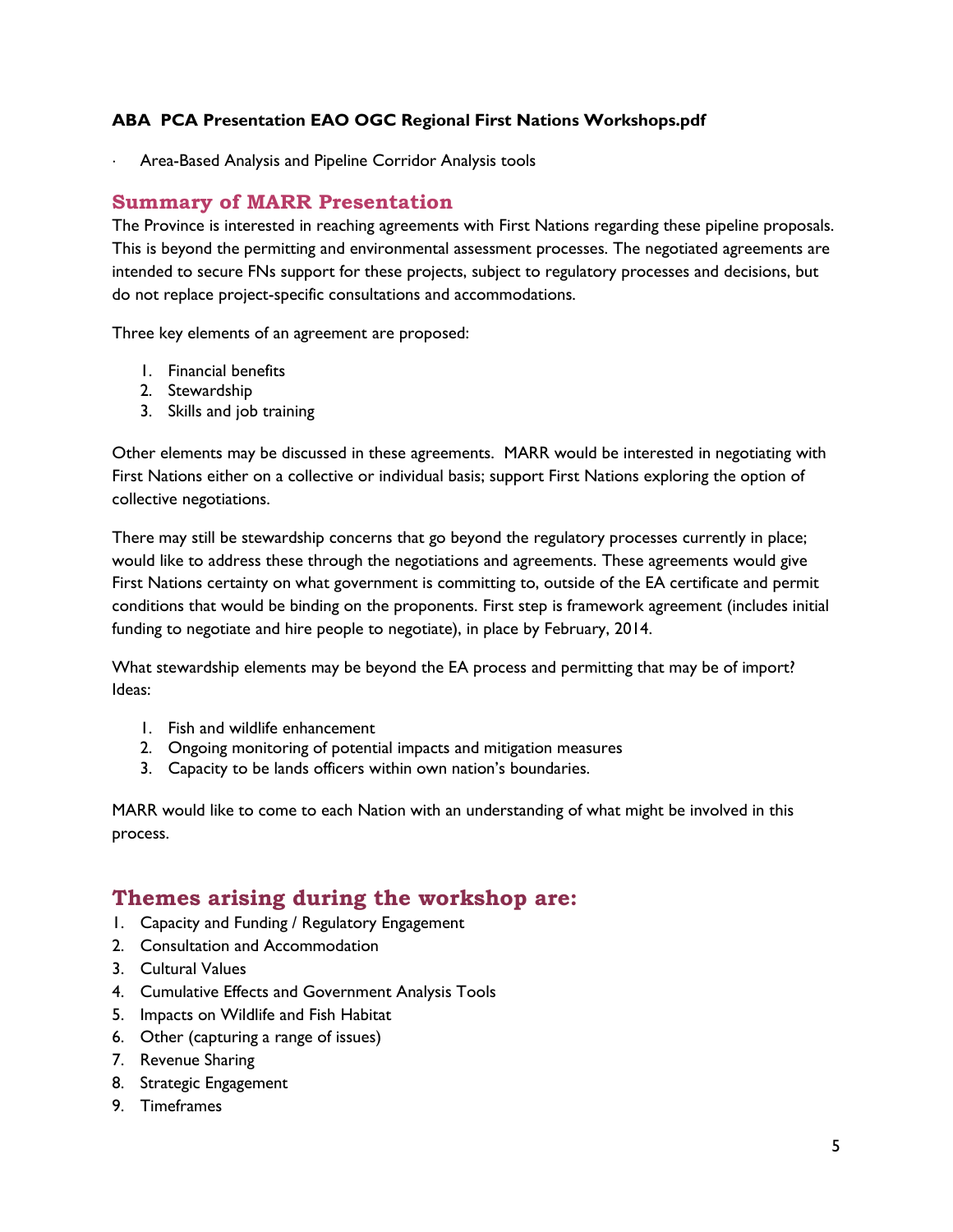#### **ABA PCA Presentation EAO OGC Regional First Nations Workshops.pdf**

Area-Based Analysis and Pipeline Corridor Analysis tools

### <span id="page-4-0"></span>**Summary of MARR Presentation**

The Province is interested in reaching agreements with First Nations regarding these pipeline proposals. This is beyond the permitting and environmental assessment processes. The negotiated agreements are intended to secure FNs support for these projects, subject to regulatory processes and decisions, but do not replace project-specific consultations and accommodations.

Three key elements of an agreement are proposed:

- 1. Financial benefits
- 2. Stewardship
- 3. Skills and job training

Other elements may be discussed in these agreements. MARR would be interested in negotiating with First Nations either on a collective or individual basis; support First Nations exploring the option of collective negotiations.

There may still be stewardship concerns that go beyond the regulatory processes currently in place; would like to address these through the negotiations and agreements. These agreements would give First Nations certainty on what government is committing to, outside of the EA certificate and permit conditions that would be binding on the proponents. First step is framework agreement (includes initial funding to negotiate and hire people to negotiate), in place by February, 2014.

What stewardship elements may be beyond the EA process and permitting that may be of import? Ideas:

- 1. Fish and wildlife enhancement
- 2. Ongoing monitoring of potential impacts and mitigation measures
- 3. Capacity to be lands officers within own nation's boundaries.

MARR would like to come to each Nation with an understanding of what might be involved in this process.

## <span id="page-4-1"></span>**Themes arising during the workshop are:**

- 1. Capacity and Funding / Regulatory Engagement
- 2. Consultation and Accommodation
- 3. Cultural Values
- 4. Cumulative Effects and Government Analysis Tools
- 5. Impacts on Wildlife and Fish Habitat
- 6. Other (capturing a range of issues)
- 7. Revenue Sharing
- 8. Strategic Engagement
- 9. Timeframes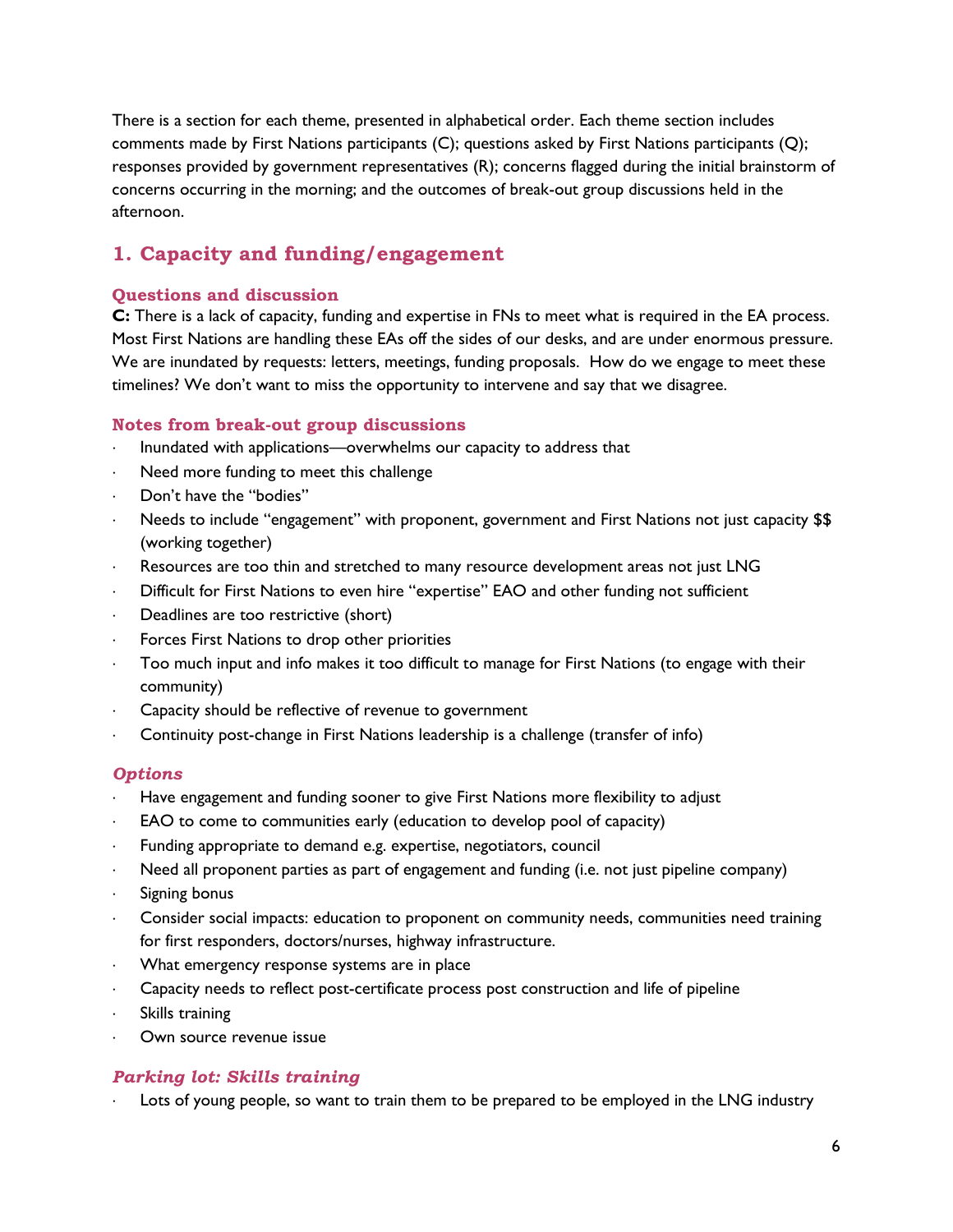There is a section for each theme, presented in alphabetical order. Each theme section includes comments made by First Nations participants (C); questions asked by First Nations participants (Q); responses provided by government representatives (R); concerns flagged during the initial brainstorm of concerns occurring in the morning; and the outcomes of break-out group discussions held in the afternoon.

## <span id="page-5-0"></span>**1. Capacity and funding/engagement**

#### **Questions and discussion**

**C:** There is a lack of capacity, funding and expertise in FNs to meet what is required in the EA process. Most First Nations are handling these EAs off the sides of our desks, and are under enormous pressure. We are inundated by requests: letters, meetings, funding proposals. How do we engage to meet these timelines? We don't want to miss the opportunity to intervene and say that we disagree.

#### **Notes from break-out group discussions**

- Inundated with applications—overwhelms our capacity to address that
- Need more funding to meet this challenge
- Don't have the "bodies"
- Needs to include "engagement" with proponent, government and First Nations not just capacity \$\$ (working together)
- Resources are too thin and stretched to many resource development areas not just LNG
- Difficult for First Nations to even hire "expertise" EAO and other funding not sufficient
- Deadlines are too restrictive (short)
- Forces First Nations to drop other priorities
- Too much input and info makes it too difficult to manage for First Nations (to engage with their community)
- Capacity should be reflective of revenue to government
- Continuity post-change in First Nations leadership is a challenge (transfer of info)

#### *Options*

- Have engagement and funding sooner to give First Nations more flexibility to adjust
- EAO to come to communities early (education to develop pool of capacity)
- Funding appropriate to demand e.g. expertise, negotiators, council
- Need all proponent parties as part of engagement and funding (i.e. not just pipeline company)
- Signing bonus
- Consider social impacts: education to proponent on community needs, communities need training for first responders, doctors/nurses, highway infrastructure.
- What emergency response systems are in place
- Capacity needs to reflect post-certificate process post construction and life of pipeline
- Skills training
- Own source revenue issue

#### *Parking lot: Skills training*

Lots of young people, so want to train them to be prepared to be employed in the LNG industry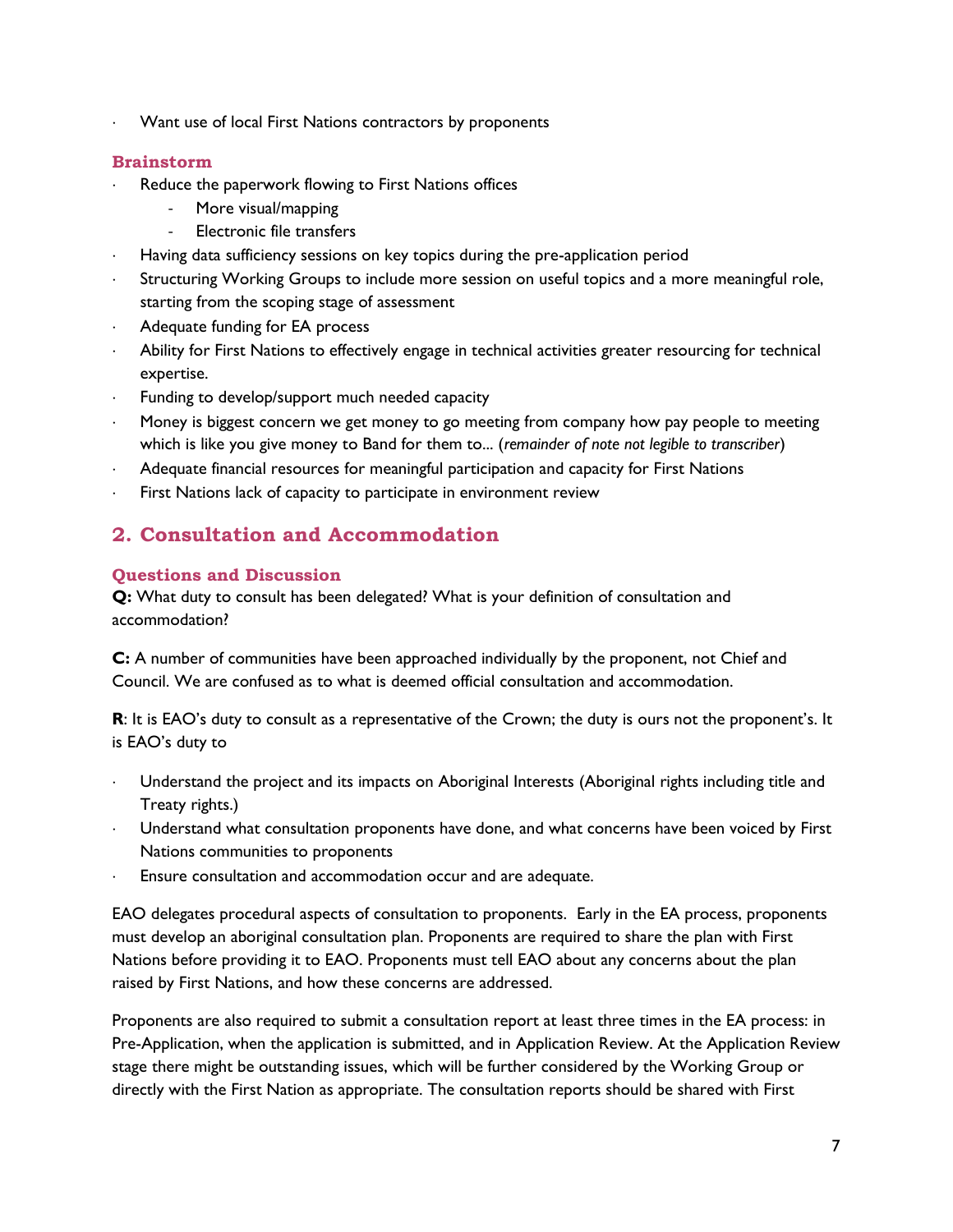Want use of local First Nations contractors by proponents

#### **Brainstorm**

- Reduce the paperwork flowing to First Nations offices
	- More visual/mapping
	- Electronic file transfers
- Having data sufficiency sessions on key topics during the pre-application period
- Structuring Working Groups to include more session on useful topics and a more meaningful role, starting from the scoping stage of assessment
- Adequate funding for EA process
- Ability for First Nations to effectively engage in technical activities greater resourcing for technical expertise.
- Funding to develop/support much needed capacity
- Money is biggest concern we get money to go meeting from company how pay people to meeting which is like you give money to Band for them to... (*remainder of note not legible to transcriber*)
- Adequate financial resources for meaningful participation and capacity for First Nations
- First Nations lack of capacity to participate in environment review

## <span id="page-6-0"></span>**2. Consultation and Accommodation**

#### **Questions and Discussion**

**Q:** What duty to consult has been delegated? What is your definition of consultation and accommodation?

**C:** A number of communities have been approached individually by the proponent, not Chief and Council. We are confused as to what is deemed official consultation and accommodation.

**R**: It is EAO's duty to consult as a representative of the Crown; the duty is ours not the proponent's. It is EAO's duty to

- Understand the project and its impacts on Aboriginal Interests (Aboriginal rights including title and Treaty rights.)
- Understand what consultation proponents have done, and what concerns have been voiced by First Nations communities to proponents
- Ensure consultation and accommodation occur and are adequate.

EAO delegates procedural aspects of consultation to proponents. Early in the EA process, proponents must develop an aboriginal consultation plan. Proponents are required to share the plan with First Nations before providing it to EAO. Proponents must tell EAO about any concerns about the plan raised by First Nations, and how these concerns are addressed.

Proponents are also required to submit a consultation report at least three times in the EA process: in Pre-Application, when the application is submitted, and in Application Review. At the Application Review stage there might be outstanding issues, which will be further considered by the Working Group or directly with the First Nation as appropriate. The consultation reports should be shared with First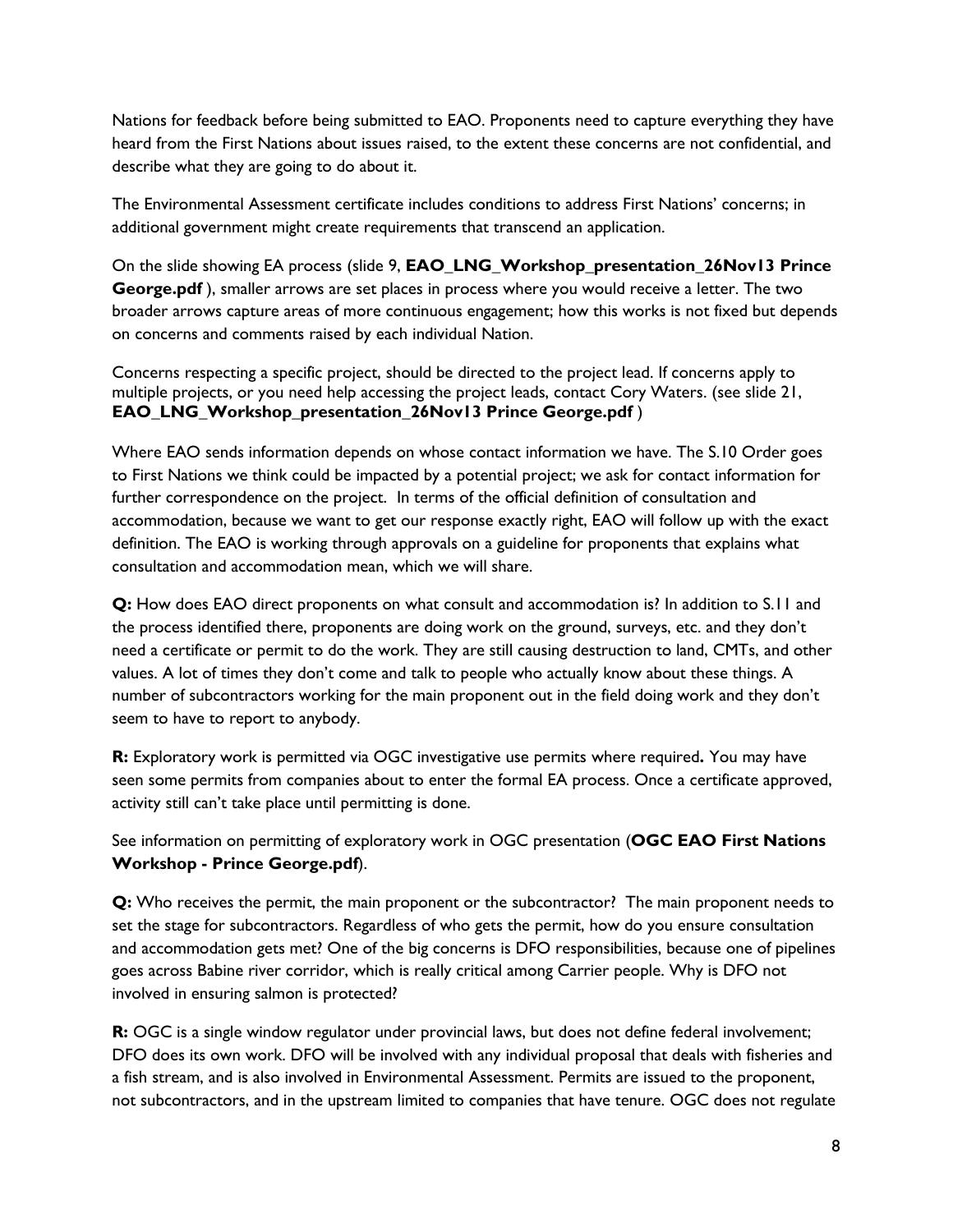Nations for feedback before being submitted to EAO. Proponents need to capture everything they have heard from the First Nations about issues raised, to the extent these concerns are not confidential, and describe what they are going to do about it.

The Environmental Assessment certificate includes conditions to address First Nations' concerns; in additional government might create requirements that transcend an application.

On the slide showing EA process (slide 9, **EAO\_LNG\_Workshop\_presentation\_26Nov13 Prince George.pdf** ), smaller arrows are set places in process where you would receive a letter. The two broader arrows capture areas of more continuous engagement; how this works is not fixed but depends on concerns and comments raised by each individual Nation.

Concerns respecting a specific project, should be directed to the project lead. If concerns apply to multiple projects, or you need help accessing the project leads, contact Cory Waters. (see slide 21, **EAO\_LNG\_Workshop\_presentation\_26Nov13 Prince George.pdf** )

Where EAO sends information depends on whose contact information we have. The S.10 Order goes to First Nations we think could be impacted by a potential project; we ask for contact information for further correspondence on the project. In terms of the official definition of consultation and accommodation, because we want to get our response exactly right, EAO will follow up with the exact definition. The EAO is working through approvals on a guideline for proponents that explains what consultation and accommodation mean, which we will share.

**Q:** How does EAO direct proponents on what consult and accommodation is? In addition to S.11 and the process identified there, proponents are doing work on the ground, surveys, etc. and they don't need a certificate or permit to do the work. They are still causing destruction to land, CMTs, and other values. A lot of times they don't come and talk to people who actually know about these things. A number of subcontractors working for the main proponent out in the field doing work and they don't seem to have to report to anybody.

**R:** Exploratory work is permitted via OGC investigative use permits where required**.** You may have seen some permits from companies about to enter the formal EA process. Once a certificate approved, activity still can't take place until permitting is done.

See information on permitting of exploratory work in OGC presentation (**OGC EAO First Nations Workshop - Prince George.pdf**).

**Q:** Who receives the permit, the main proponent or the subcontractor? The main proponent needs to set the stage for subcontractors. Regardless of who gets the permit, how do you ensure consultation and accommodation gets met? One of the big concerns is DFO responsibilities, because one of pipelines goes across Babine river corridor, which is really critical among Carrier people. Why is DFO not involved in ensuring salmon is protected?

**R:** OGC is a single window regulator under provincial laws, but does not define federal involvement; DFO does its own work. DFO will be involved with any individual proposal that deals with fisheries and a fish stream, and is also involved in Environmental Assessment. Permits are issued to the proponent, not subcontractors, and in the upstream limited to companies that have tenure. OGC does not regulate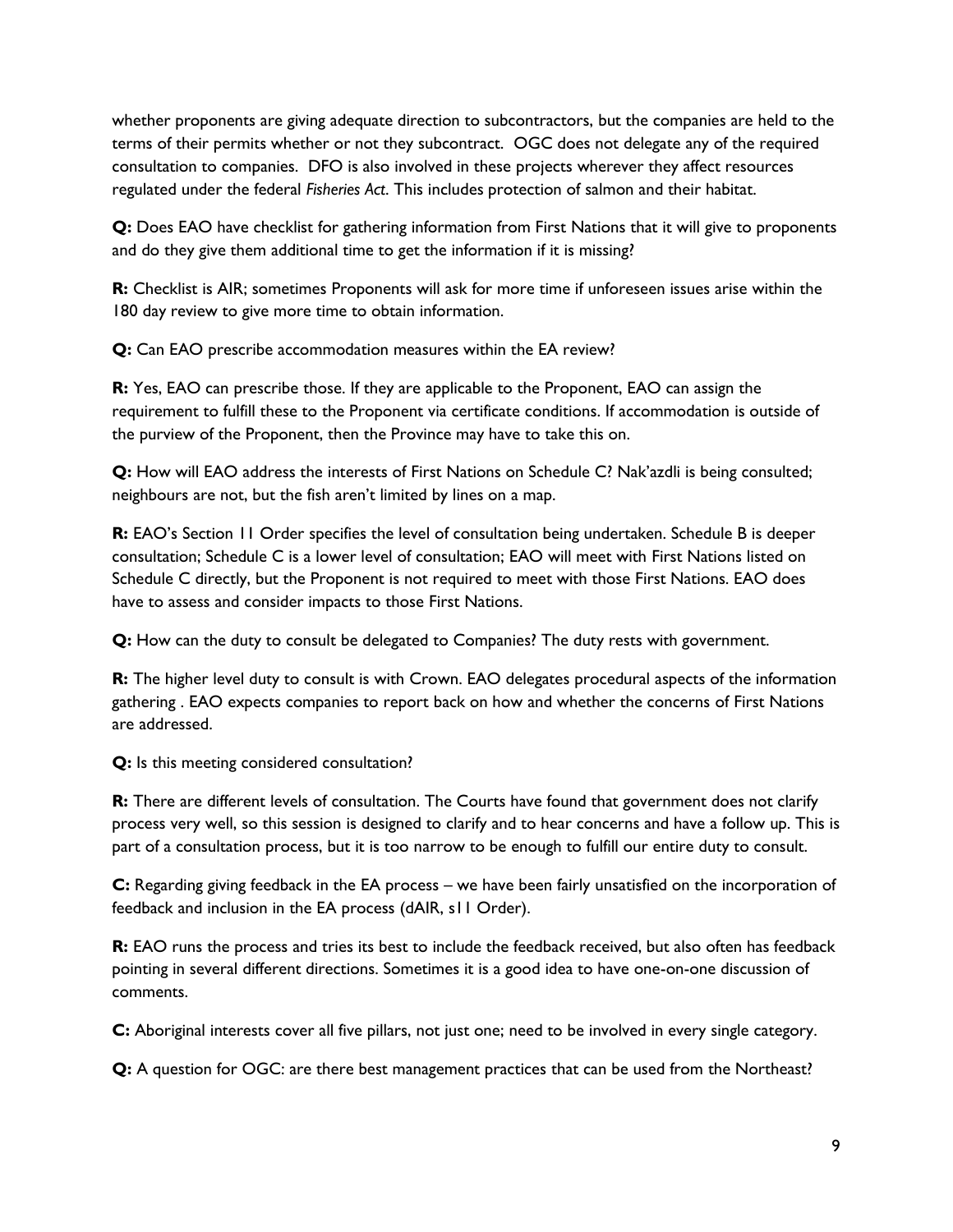whether proponents are giving adequate direction to subcontractors, but the companies are held to the terms of their permits whether or not they subcontract. OGC does not delegate any of the required consultation to companies. DFO is also involved in these projects wherever they affect resources regulated under the federal *Fisheries Act*. This includes protection of salmon and their habitat.

**Q:** Does EAO have checklist for gathering information from First Nations that it will give to proponents and do they give them additional time to get the information if it is missing?

**R:** Checklist is AIR; sometimes Proponents will ask for more time if unforeseen issues arise within the 180 day review to give more time to obtain information.

**Q:** Can EAO prescribe accommodation measures within the EA review?

**R:** Yes, EAO can prescribe those. If they are applicable to the Proponent, EAO can assign the requirement to fulfill these to the Proponent via certificate conditions. If accommodation is outside of the purview of the Proponent, then the Province may have to take this on.

**Q:** How will EAO address the interests of First Nations on Schedule C? Nak'azdli is being consulted; neighbours are not, but the fish aren't limited by lines on a map.

**R:** EAO's Section 11 Order specifies the level of consultation being undertaken. Schedule B is deeper consultation; Schedule C is a lower level of consultation; EAO will meet with First Nations listed on Schedule C directly, but the Proponent is not required to meet with those First Nations. EAO does have to assess and consider impacts to those First Nations.

**Q:** How can the duty to consult be delegated to Companies? The duty rests with government.

**R:** The higher level duty to consult is with Crown. EAO delegates procedural aspects of the information gathering . EAO expects companies to report back on how and whether the concerns of First Nations are addressed.

**Q:** Is this meeting considered consultation?

**R:** There are different levels of consultation. The Courts have found that government does not clarify process very well, so this session is designed to clarify and to hear concerns and have a follow up. This is part of a consultation process, but it is too narrow to be enough to fulfill our entire duty to consult.

**C:** Regarding giving feedback in the EA process – we have been fairly unsatisfied on the incorporation of feedback and inclusion in the EA process (dAIR, s11 Order).

**R:** EAO runs the process and tries its best to include the feedback received, but also often has feedback pointing in several different directions. Sometimes it is a good idea to have one-on-one discussion of comments.

**C:** Aboriginal interests cover all five pillars, not just one; need to be involved in every single category.

**Q:** A question for OGC: are there best management practices that can be used from the Northeast?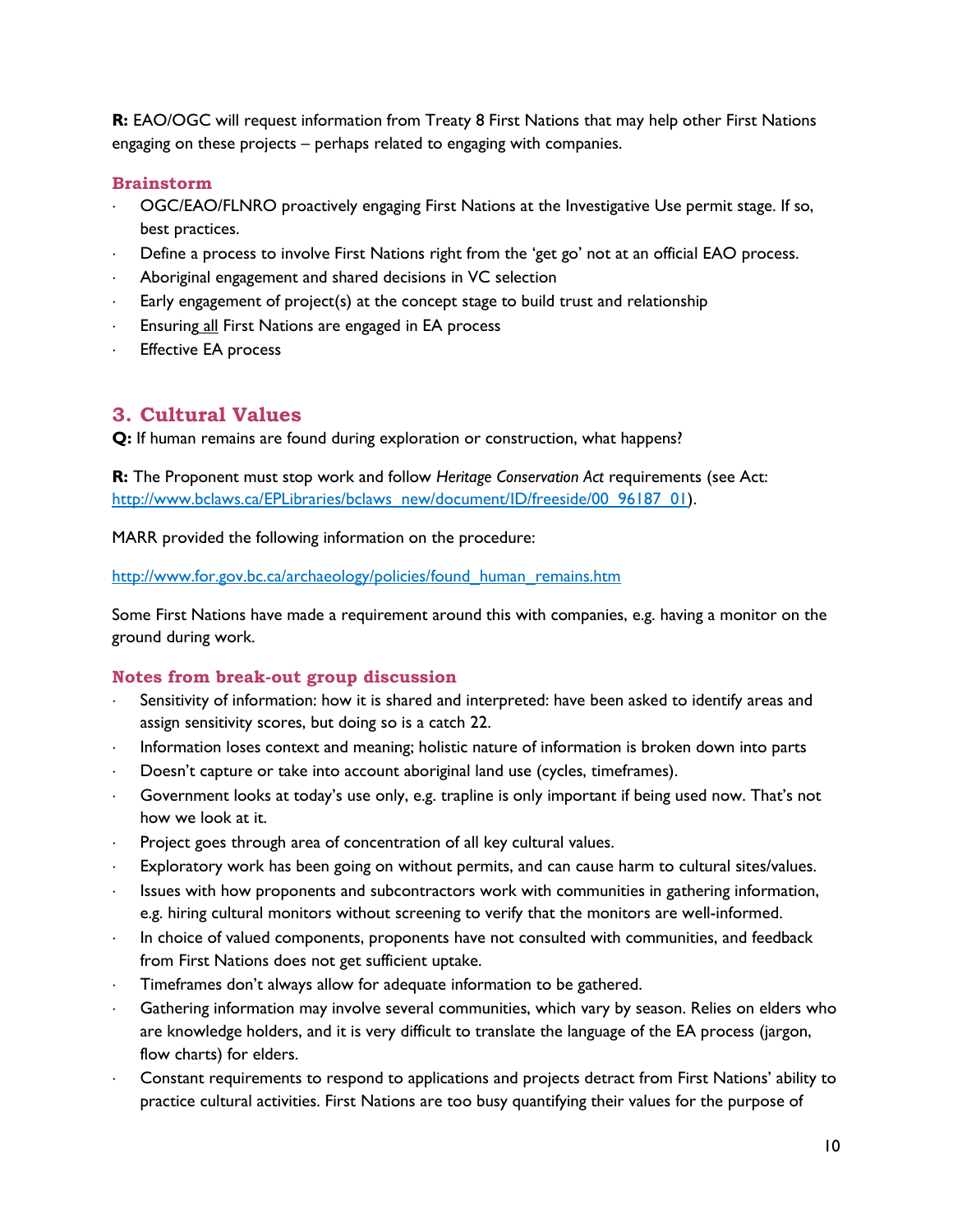**R:** EAO/OGC will request information from Treaty 8 First Nations that may help other First Nations engaging on these projects – perhaps related to engaging with companies.

#### **Brainstorm**

- OGC/EAO/FLNRO proactively engaging First Nations at the Investigative Use permit stage. If so, best practices.
- Define a process to involve First Nations right from the 'get go' not at an official EAO process.
- Aboriginal engagement and shared decisions in VC selection
- Early engagement of project(s) at the concept stage to build trust and relationship
- Ensuring all First Nations are engaged in EA process
- Effective EA process

## <span id="page-9-0"></span>**3. Cultural Values**

**Q:** If human remains are found during exploration or construction, what happens?

**R:** The Proponent must stop work and follow *Heritage Conservation Act* requirements (see Act: [http://www.bclaws.ca/EPLibraries/bclaws\\_new/document/ID/freeside/00\\_96187\\_01\)](http://www.bclaws.ca/EPLibraries/bclaws_new/document/ID/freeside/00_96187_01).

MARR provided the following information on the procedure:

[http://www.for.gov.bc.ca/archaeology/policies/found\\_human\\_remains.htm](http://www.for.gov.bc.ca/archaeology/policies/found_human_remains.htm)

Some First Nations have made a requirement around this with companies, e.g. having a monitor on the ground during work.

#### **Notes from break-out group discussion**

- Sensitivity of information: how it is shared and interpreted: have been asked to identify areas and assign sensitivity scores, but doing so is a catch 22.
- Information loses context and meaning; holistic nature of information is broken down into parts
- Doesn't capture or take into account aboriginal land use (cycles, timeframes).
- Government looks at today's use only, e.g. trapline is only important if being used now. That's not how we look at it.
- Project goes through area of concentration of all key cultural values.
- Exploratory work has been going on without permits, and can cause harm to cultural sites/values.
- Issues with how proponents and subcontractors work with communities in gathering information, e.g. hiring cultural monitors without screening to verify that the monitors are well-informed.
- In choice of valued components, proponents have not consulted with communities, and feedback from First Nations does not get sufficient uptake.
- Timeframes don't always allow for adequate information to be gathered.
- Gathering information may involve several communities, which vary by season. Relies on elders who are knowledge holders, and it is very difficult to translate the language of the EA process (jargon, flow charts) for elders.
- Constant requirements to respond to applications and projects detract from First Nations' ability to practice cultural activities. First Nations are too busy quantifying their values for the purpose of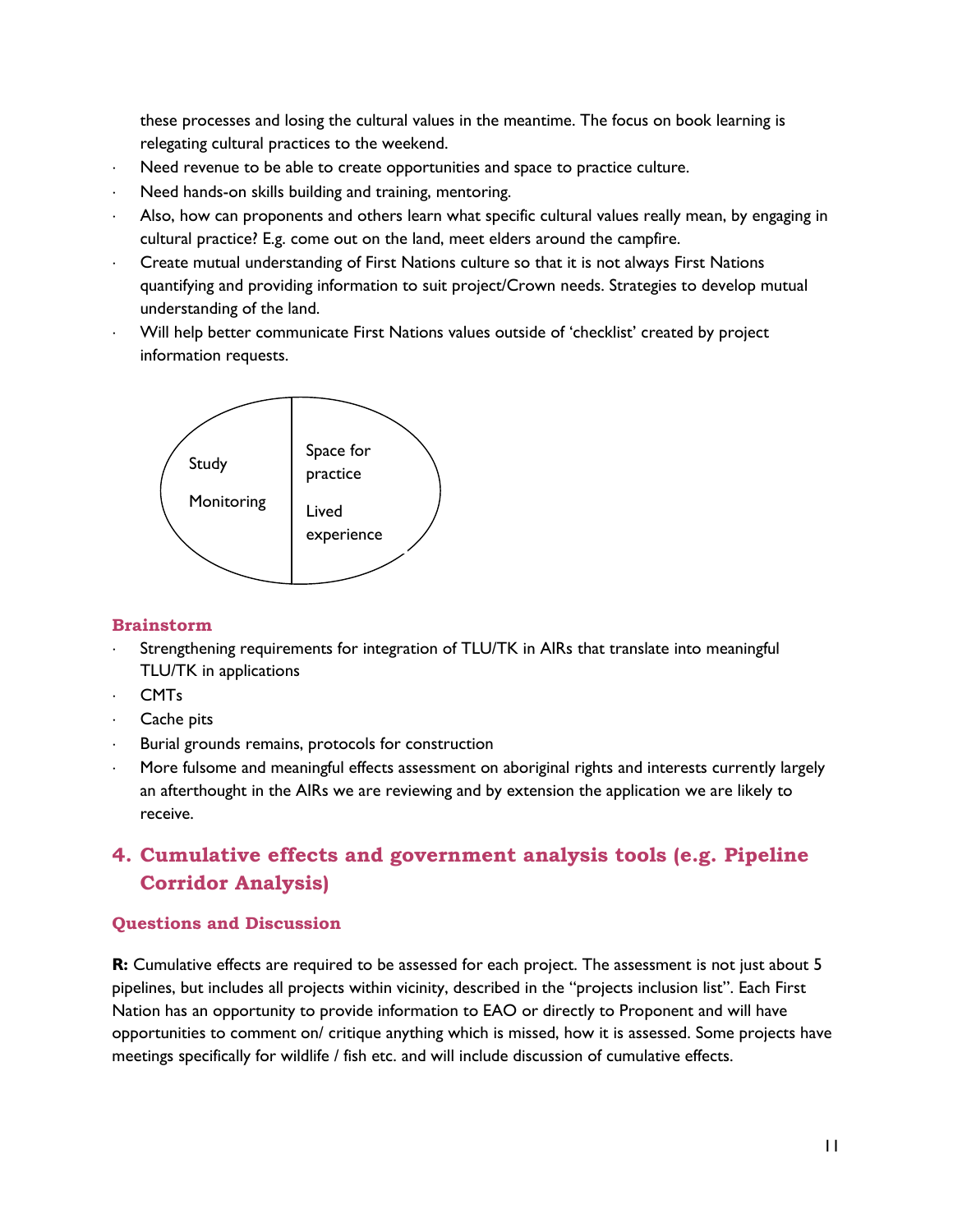these processes and losing the cultural values in the meantime. The focus on book learning is relegating cultural practices to the weekend.

- Need revenue to be able to create opportunities and space to practice culture.
- Need hands-on skills building and training, mentoring.
- Also, how can proponents and others learn what specific cultural values really mean, by engaging in cultural practice? E.g. come out on the land, meet elders around the campfire.
- Create mutual understanding of First Nations culture so that it is not always First Nations quantifying and providing information to suit project/Crown needs. Strategies to develop mutual understanding of the land.
- Will help better communicate First Nations values outside of 'checklist' created by project information requests.



#### **Brainstorm**

- Strengthening requirements for integration of TLU/TK in AIRs that translate into meaningful TLU/TK in applications
- . CMT<sub>s</sub>
- Cache pits
- Burial grounds remains, protocols for construction
- More fulsome and meaningful effects assessment on aboriginal rights and interests currently largely an afterthought in the AIRs we are reviewing and by extension the application we are likely to receive.

## <span id="page-10-0"></span>**4. Cumulative effects and government analysis tools (e.g. Pipeline Corridor Analysis)**

#### **Questions and Discussion**

**R:** Cumulative effects are required to be assessed for each project. The assessment is not just about 5 pipelines, but includes all projects within vicinity, described in the "projects inclusion list". Each First Nation has an opportunity to provide information to EAO or directly to Proponent and will have opportunities to comment on/ critique anything which is missed, how it is assessed. Some projects have meetings specifically for wildlife / fish etc. and will include discussion of cumulative effects.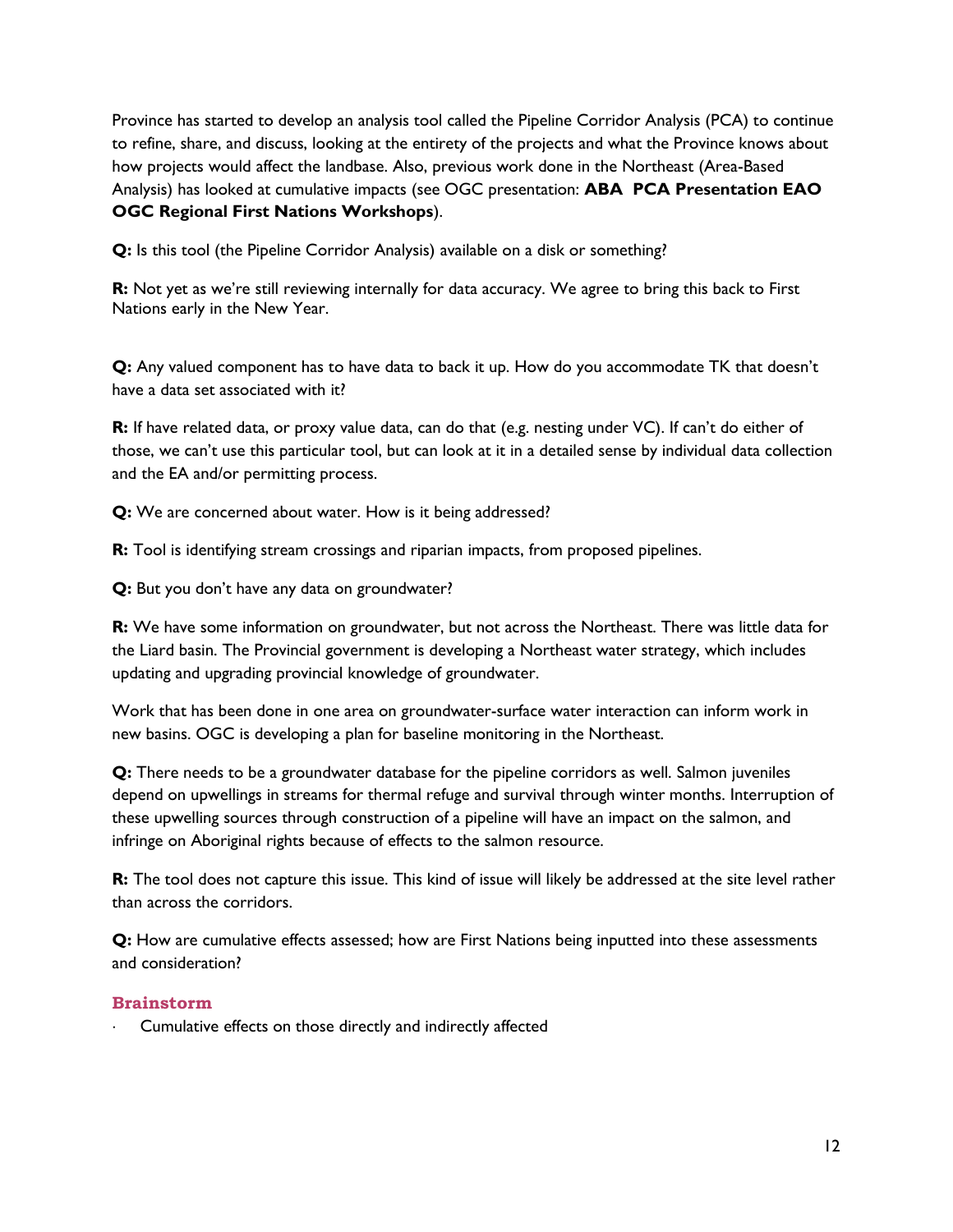Province has started to develop an analysis tool called the Pipeline Corridor Analysis (PCA) to continue to refine, share, and discuss, looking at the entirety of the projects and what the Province knows about how projects would affect the landbase. Also, previous work done in the Northeast (Area-Based Analysis) has looked at cumulative impacts (see OGC presentation: **ABA PCA Presentation EAO OGC Regional First Nations Workshops**).

**Q:** Is this tool (the Pipeline Corridor Analysis) available on a disk or something?

**R:** Not yet as we're still reviewing internally for data accuracy. We agree to bring this back to First Nations early in the New Year.

**Q:** Any valued component has to have data to back it up. How do you accommodate TK that doesn't have a data set associated with it?

**R:** If have related data, or proxy value data, can do that (e.g. nesting under VC). If can't do either of those, we can't use this particular tool, but can look at it in a detailed sense by individual data collection and the EA and/or permitting process.

**Q:** We are concerned about water. How is it being addressed?

**R:** Tool is identifying stream crossings and riparian impacts, from proposed pipelines.

**Q:** But you don't have any data on groundwater?

**R:** We have some information on groundwater, but not across the Northeast. There was little data for the Liard basin. The Provincial government is developing a Northeast water strategy, which includes updating and upgrading provincial knowledge of groundwater.

Work that has been done in one area on groundwater-surface water interaction can inform work in new basins. OGC is developing a plan for baseline monitoring in the Northeast.

**Q:** There needs to be a groundwater database for the pipeline corridors as well. Salmon juveniles depend on upwellings in streams for thermal refuge and survival through winter months. Interruption of these upwelling sources through construction of a pipeline will have an impact on the salmon, and infringe on Aboriginal rights because of effects to the salmon resource.

**R:** The tool does not capture this issue. This kind of issue will likely be addressed at the site level rather than across the corridors.

**Q:** How are cumulative effects assessed; how are First Nations being inputted into these assessments and consideration?

#### **Brainstorm**

Cumulative effects on those directly and indirectly affected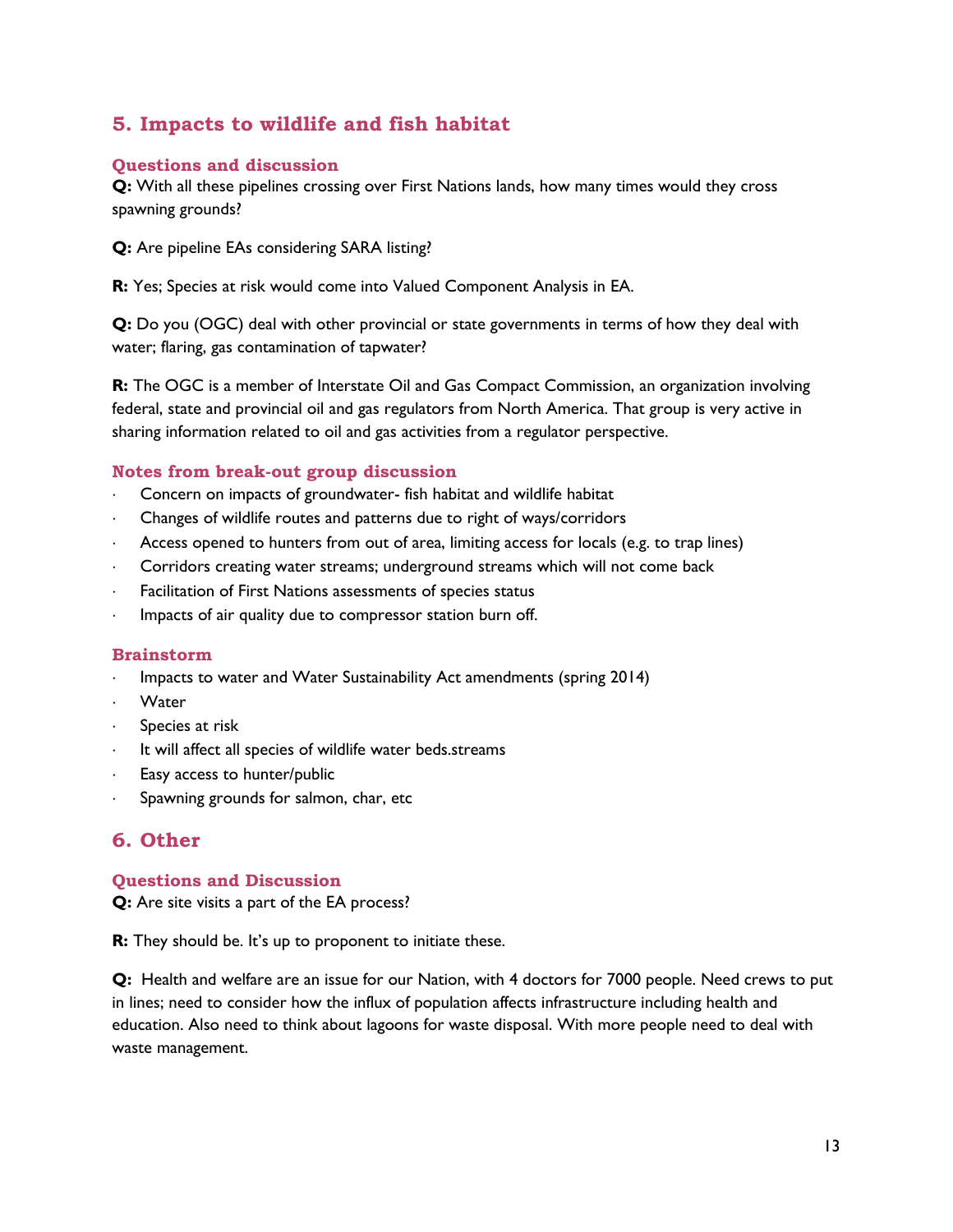## <span id="page-12-0"></span>**5. Impacts to wildlife and fish habitat**

#### **Questions and discussion**

**Q:** With all these pipelines crossing over First Nations lands, how many times would they cross spawning grounds?

**Q:** Are pipeline EAs considering SARA listing?

**R:** Yes; Species at risk would come into Valued Component Analysis in EA.

**Q:** Do you (OGC) deal with other provincial or state governments in terms of how they deal with water; flaring, gas contamination of tapwater?

**R:** The OGC is a member of Interstate Oil and Gas Compact Commission, an organization involving federal, state and provincial oil and gas regulators from North America. That group is very active in sharing information related to oil and gas activities from a regulator perspective.

#### **Notes from break-out group discussion**

- Concern on impacts of groundwater- fish habitat and wildlife habitat
- Changes of wildlife routes and patterns due to right of ways/corridors
- Access opened to hunters from out of area, limiting access for locals (e.g. to trap lines)
- Corridors creating water streams; underground streams which will not come back
- Facilitation of First Nations assessments of species status
- Impacts of air quality due to compressor station burn off.

#### **Brainstorm**

- Impacts to water and Water Sustainability Act amendments (spring 2014)
- Water
- Species at risk
- It will affect all species of wildlife water beds.streams
- Easy access to hunter/public
- Spawning grounds for salmon, char, etc

## <span id="page-12-1"></span>**6. Other**

#### **Questions and Discussion**

**Q:** Are site visits a part of the EA process?

**R:** They should be. It's up to proponent to initiate these.

**Q:** Health and welfare are an issue for our Nation, with 4 doctors for 7000 people. Need crews to put in lines; need to consider how the influx of population affects infrastructure including health and education. Also need to think about lagoons for waste disposal. With more people need to deal with waste management.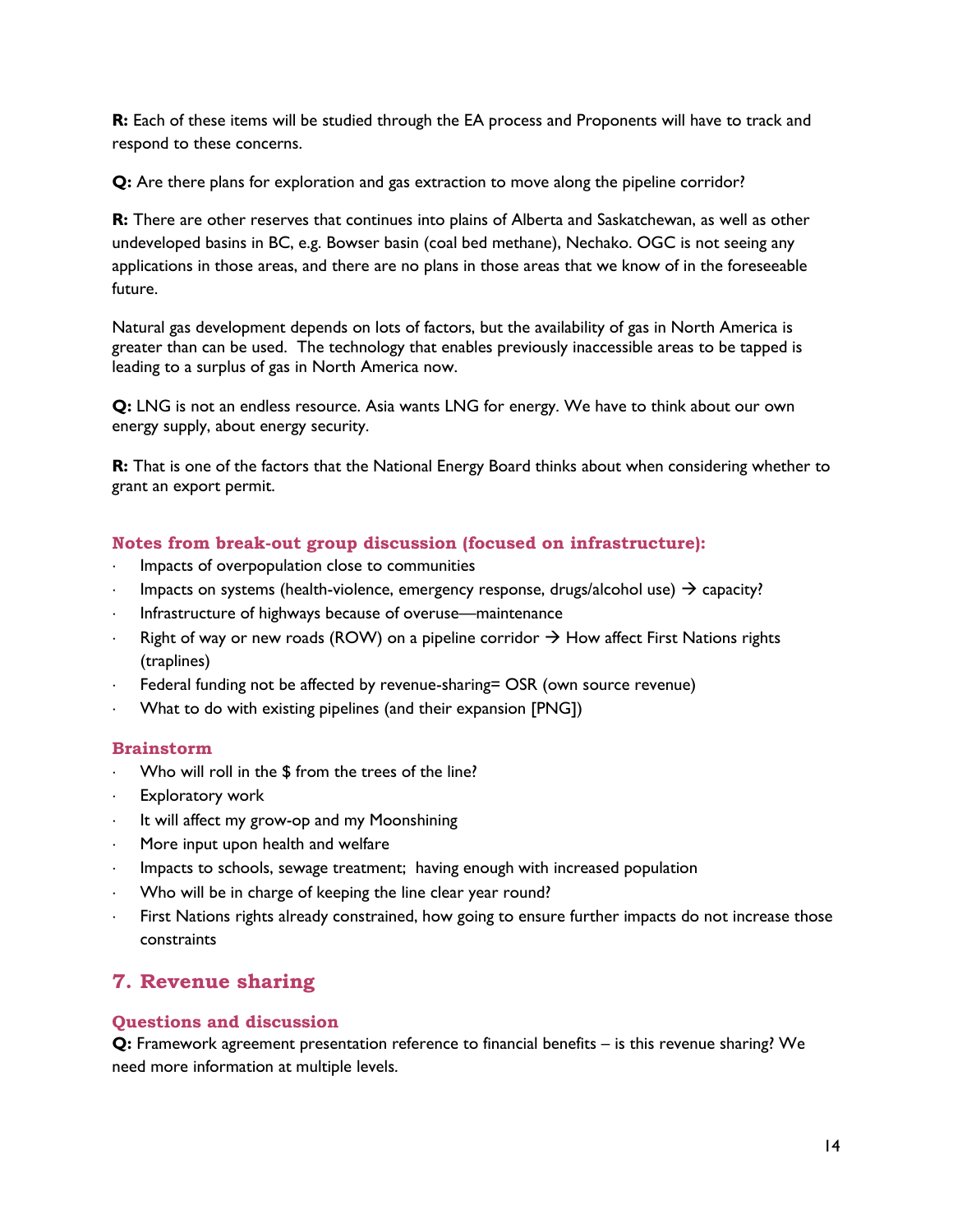**R:** Each of these items will be studied through the EA process and Proponents will have to track and respond to these concerns.

**Q:** Are there plans for exploration and gas extraction to move along the pipeline corridor?

**R:** There are other reserves that continues into plains of Alberta and Saskatchewan, as well as other undeveloped basins in BC, e.g. Bowser basin (coal bed methane), Nechako. OGC is not seeing any applications in those areas, and there are no plans in those areas that we know of in the foreseeable future.

Natural gas development depends on lots of factors, but the availability of gas in North America is greater than can be used. The technology that enables previously inaccessible areas to be tapped is leading to a surplus of gas in North America now.

**Q:** LNG is not an endless resource. Asia wants LNG for energy. We have to think about our own energy supply, about energy security.

**R:** That is one of the factors that the National Energy Board thinks about when considering whether to grant an export permit.

#### **Notes from break-out group discussion (focused on infrastructure):**

- Impacts of overpopulation close to communities
- Impacts on systems (health-violence, emergency response, drugs/alcohol use)  $\rightarrow$  capacity?
- Infrastructure of highways because of overuse—maintenance
- Right of way or new roads (ROW) on a pipeline corridor  $\rightarrow$  How affect First Nations rights (traplines)
- Federal funding not be affected by revenue-sharing= OSR (own source revenue)
- What to do with existing pipelines (and their expansion [PNG])

#### **Brainstorm**

- Who will roll in the \$ from the trees of the line?
- Exploratory work
- It will affect my grow-op and my Moonshining
- More input upon health and welfare
- Impacts to schools, sewage treatment; having enough with increased population
- Who will be in charge of keeping the line clear year round?
- First Nations rights already constrained, how going to ensure further impacts do not increase those constraints

## <span id="page-13-0"></span>**7. Revenue sharing**

#### **Questions and discussion**

**Q:** Framework agreement presentation reference to financial benefits – is this revenue sharing? We need more information at multiple levels.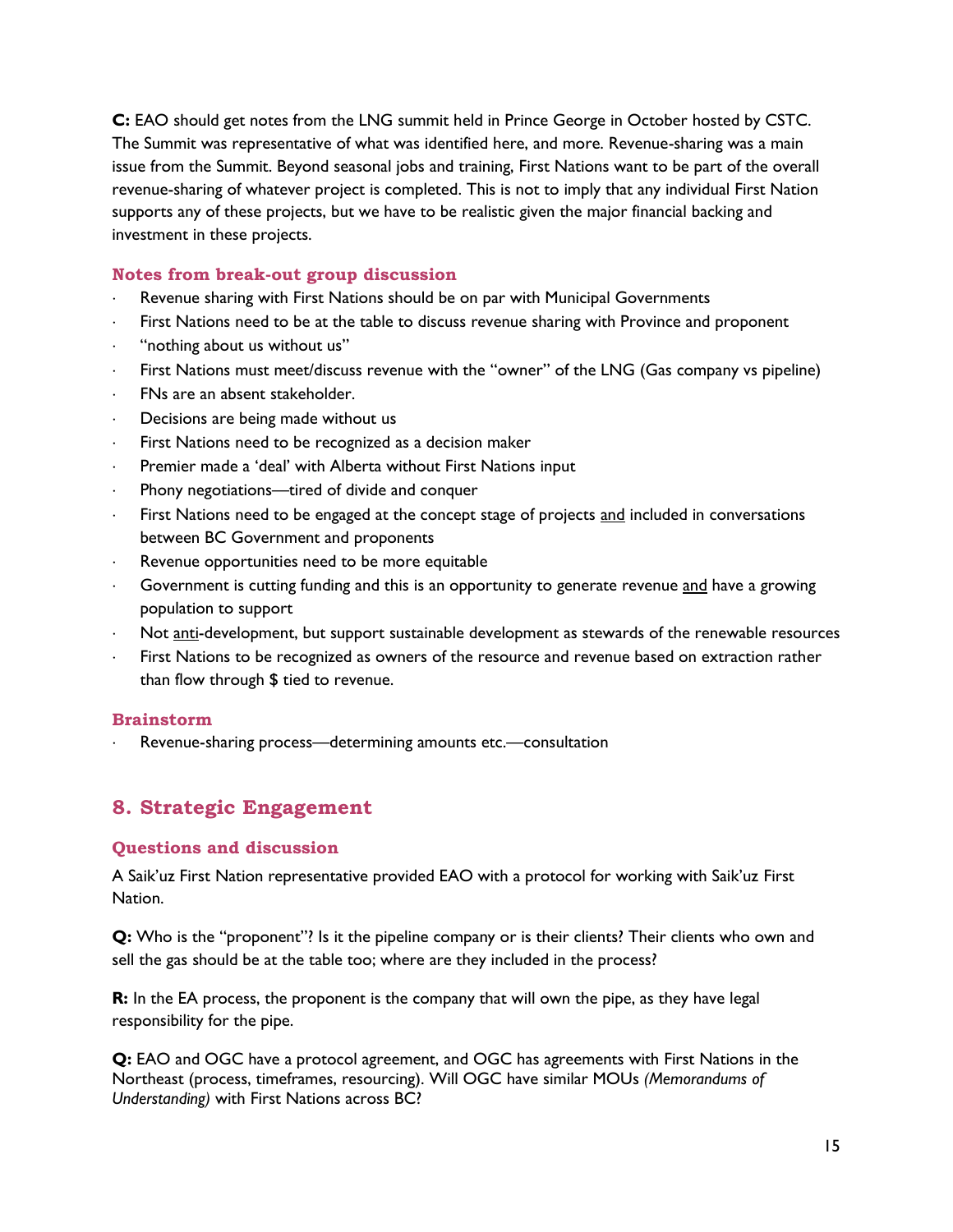**C:** EAO should get notes from the LNG summit held in Prince George in October hosted by CSTC. The Summit was representative of what was identified here, and more. Revenue-sharing was a main issue from the Summit. Beyond seasonal jobs and training, First Nations want to be part of the overall revenue-sharing of whatever project is completed. This is not to imply that any individual First Nation supports any of these projects, but we have to be realistic given the major financial backing and investment in these projects.

#### **Notes from break-out group discussion**

- Revenue sharing with First Nations should be on par with Municipal Governments
- First Nations need to be at the table to discuss revenue sharing with Province and proponent
- "nothing about us without us"
- First Nations must meet/discuss revenue with the "owner" of the LNG (Gas company vs pipeline)
- FNs are an absent stakeholder.
- Decisions are being made without us
- First Nations need to be recognized as a decision maker
- Premier made a 'deal' with Alberta without First Nations input
- Phony negotiations—tired of divide and conquer
- First Nations need to be engaged at the concept stage of projects and included in conversations between BC Government and proponents
- Revenue opportunities need to be more equitable
- Government is cutting funding and this is an opportunity to generate revenue and have a growing population to support
- Not anti-development, but support sustainable development as stewards of the renewable resources
- First Nations to be recognized as owners of the resource and revenue based on extraction rather than flow through \$ tied to revenue.

#### **Brainstorm**

Revenue-sharing process—determining amounts etc.—consultation

## <span id="page-14-0"></span>**8. Strategic Engagement**

#### **Questions and discussion**

A Saik'uz First Nation representative provided EAO with a protocol for working with Saik'uz First Nation.

**Q:** Who is the "proponent"? Is it the pipeline company or is their clients? Their clients who own and sell the gas should be at the table too; where are they included in the process?

**R:** In the EA process, the proponent is the company that will own the pipe, as they have legal responsibility for the pipe.

**Q:** EAO and OGC have a protocol agreement, and OGC has agreements with First Nations in the Northeast (process, timeframes, resourcing). Will OGC have similar MOUs *(Memorandums of Understanding)* with First Nations across BC?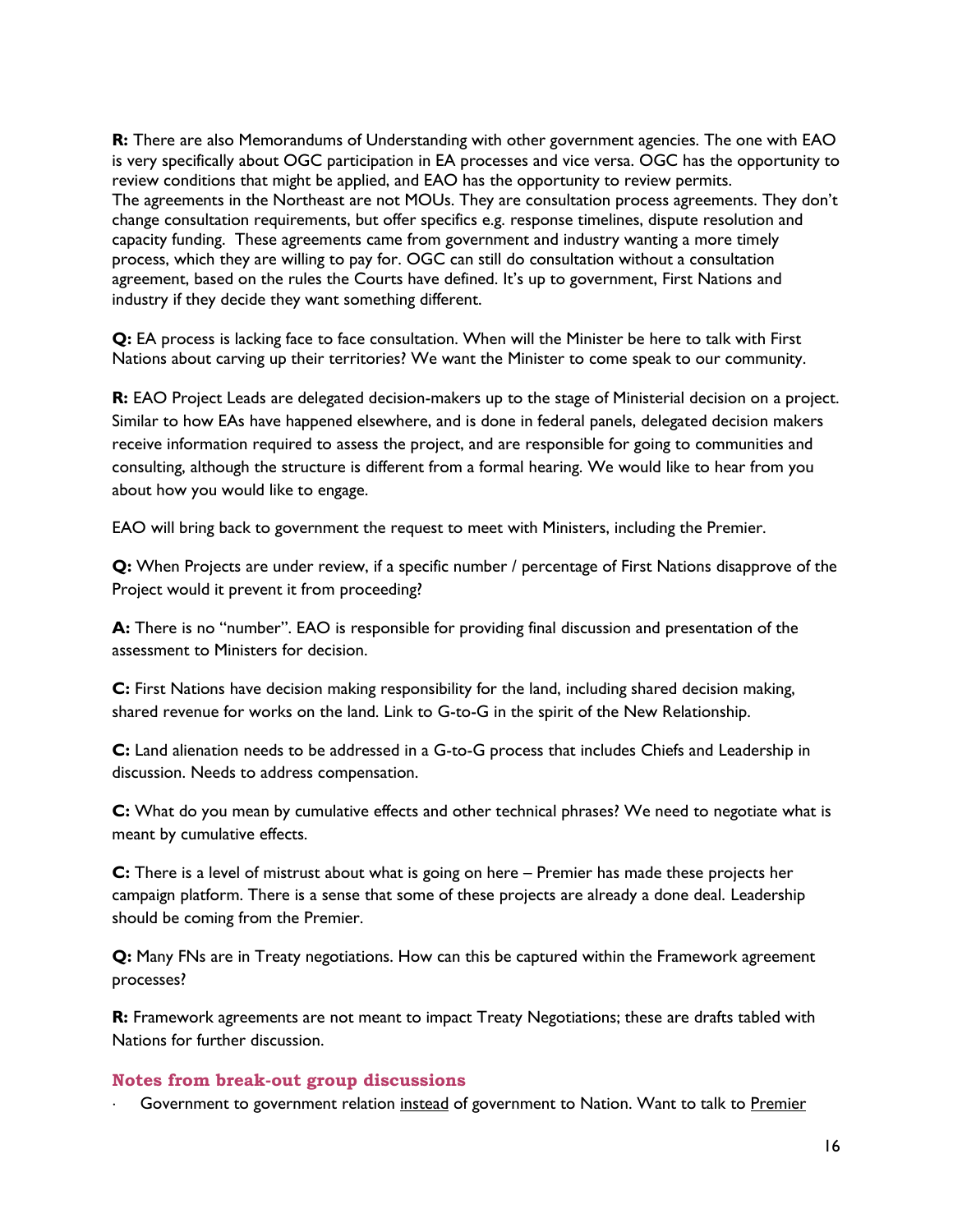**R:** There are also Memorandums of Understanding with other government agencies. The one with EAO is very specifically about OGC participation in EA processes and vice versa. OGC has the opportunity to review conditions that might be applied, and EAO has the opportunity to review permits. The agreements in the Northeast are not MOUs. They are consultation process agreements. They don't change consultation requirements, but offer specifics e.g. response timelines, dispute resolution and capacity funding. These agreements came from government and industry wanting a more timely process, which they are willing to pay for. OGC can still do consultation without a consultation agreement, based on the rules the Courts have defined. It's up to government, First Nations and industry if they decide they want something different.

**Q:** EA process is lacking face to face consultation. When will the Minister be here to talk with First Nations about carving up their territories? We want the Minister to come speak to our community.

**R:** EAO Project Leads are delegated decision-makers up to the stage of Ministerial decision on a project. Similar to how EAs have happened elsewhere, and is done in federal panels, delegated decision makers receive information required to assess the project, and are responsible for going to communities and consulting, although the structure is different from a formal hearing. We would like to hear from you about how you would like to engage.

EAO will bring back to government the request to meet with Ministers, including the Premier.

**Q:** When Projects are under review, if a specific number / percentage of First Nations disapprove of the Project would it prevent it from proceeding?

**A:** There is no "number". EAO is responsible for providing final discussion and presentation of the assessment to Ministers for decision.

**C:** First Nations have decision making responsibility for the land, including shared decision making, shared revenue for works on the land. Link to G-to-G in the spirit of the New Relationship.

**C:** Land alienation needs to be addressed in a G-to-G process that includes Chiefs and Leadership in discussion. Needs to address compensation.

**C:** What do you mean by cumulative effects and other technical phrases? We need to negotiate what is meant by cumulative effects.

**C:** There is a level of mistrust about what is going on here – Premier has made these projects her campaign platform. There is a sense that some of these projects are already a done deal. Leadership should be coming from the Premier.

**Q:** Many FNs are in Treaty negotiations. How can this be captured within the Framework agreement processes?

**R:** Framework agreements are not meant to impact Treaty Negotiations; these are drafts tabled with Nations for further discussion.

#### **Notes from break-out group discussions**

Government to government relation instead of government to Nation. Want to talk to Premier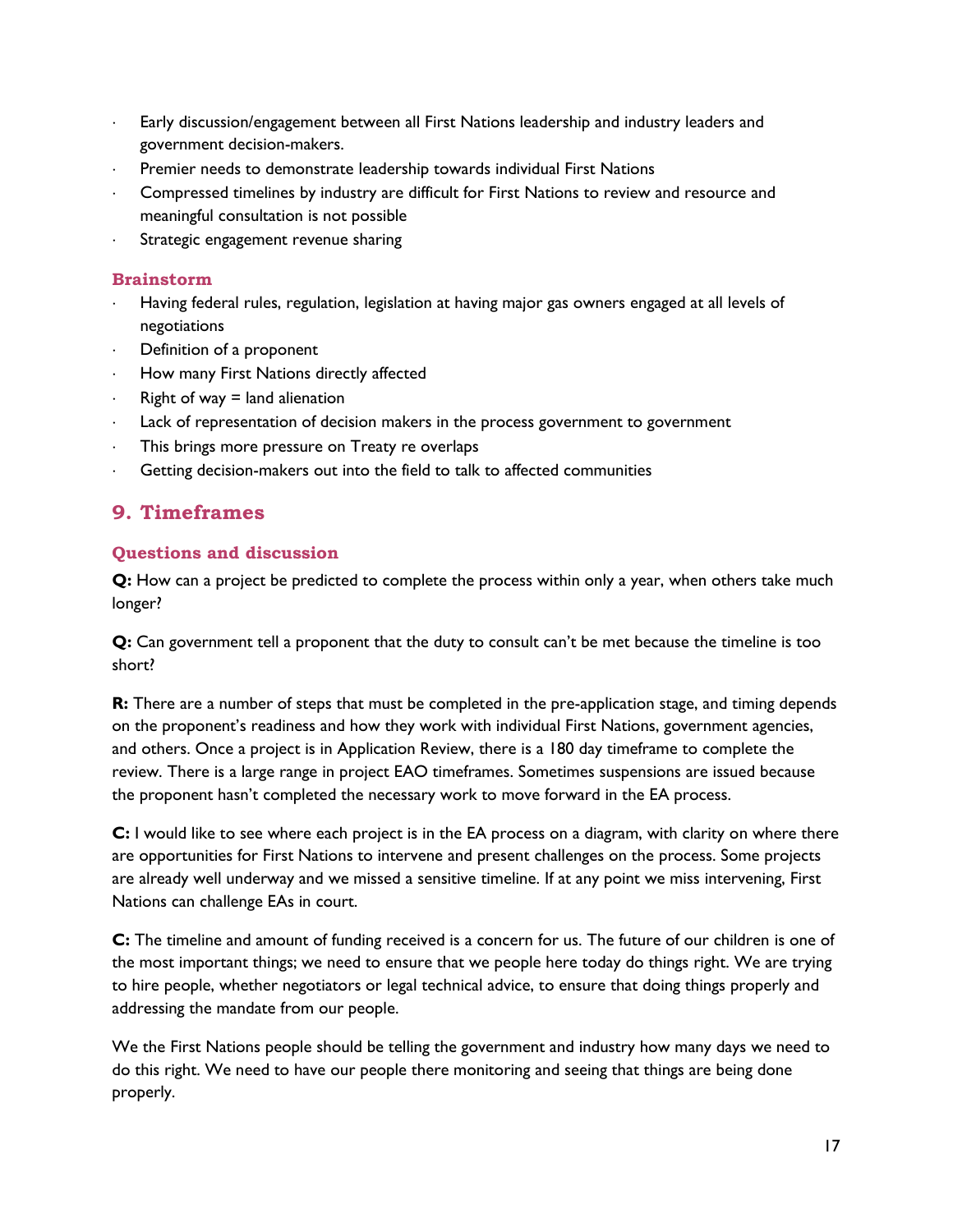- Early discussion/engagement between all First Nations leadership and industry leaders and government decision-makers.
- Premier needs to demonstrate leadership towards individual First Nations
- Compressed timelines by industry are difficult for First Nations to review and resource and meaningful consultation is not possible
- Strategic engagement revenue sharing

#### **Brainstorm**

- Having federal rules, regulation, legislation at having major gas owners engaged at all levels of negotiations
- Definition of a proponent
- How many First Nations directly affected
- Right of way  $=$  land alienation
- Lack of representation of decision makers in the process government to government
- This brings more pressure on Treaty re overlaps
- Getting decision-makers out into the field to talk to affected communities

## <span id="page-16-0"></span>**9. Timeframes**

#### **Questions and discussion**

**Q:** How can a project be predicted to complete the process within only a year, when others take much longer?

**Q:** Can government tell a proponent that the duty to consult can't be met because the timeline is too short?

**R:** There are a number of steps that must be completed in the pre-application stage, and timing depends on the proponent's readiness and how they work with individual First Nations, government agencies, and others. Once a project is in Application Review, there is a 180 day timeframe to complete the review. There is a large range in project EAO timeframes. Sometimes suspensions are issued because the proponent hasn't completed the necessary work to move forward in the EA process.

**C:** I would like to see where each project is in the EA process on a diagram, with clarity on where there are opportunities for First Nations to intervene and present challenges on the process. Some projects are already well underway and we missed a sensitive timeline. If at any point we miss intervening, First Nations can challenge EAs in court.

**C:** The timeline and amount of funding received is a concern for us. The future of our children is one of the most important things; we need to ensure that we people here today do things right. We are trying to hire people, whether negotiators or legal technical advice, to ensure that doing things properly and addressing the mandate from our people.

We the First Nations people should be telling the government and industry how many days we need to do this right. We need to have our people there monitoring and seeing that things are being done properly.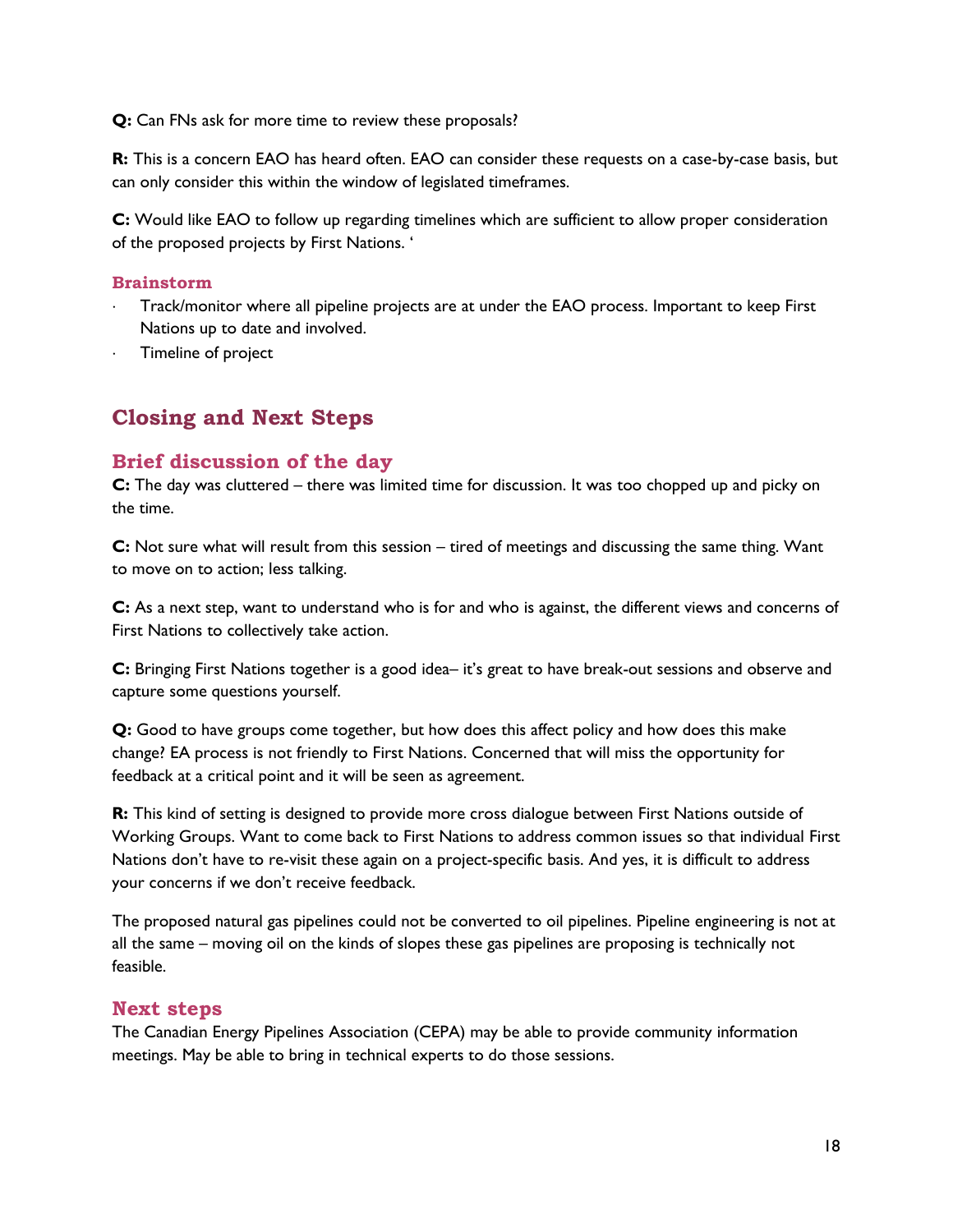**Q:** Can FNs ask for more time to review these proposals?

**R:** This is a concern EAO has heard often. EAO can consider these requests on a case-by-case basis, but can only consider this within the window of legislated timeframes.

**C:** Would like EAO to follow up regarding timelines which are sufficient to allow proper consideration of the proposed projects by First Nations. '

#### **Brainstorm**

- Track/monitor where all pipeline projects are at under the EAO process. Important to keep First Nations up to date and involved.
- Timeline of project

# <span id="page-17-0"></span>**Closing and Next Steps**

### <span id="page-17-1"></span>**Brief discussion of the day**

**C:** The day was cluttered – there was limited time for discussion. It was too chopped up and picky on the time.

**C:** Not sure what will result from this session – tired of meetings and discussing the same thing. Want to move on to action; less talking.

**C:** As a next step, want to understand who is for and who is against, the different views and concerns of First Nations to collectively take action.

**C:** Bringing First Nations together is a good idea– it's great to have break-out sessions and observe and capture some questions yourself.

**Q:** Good to have groups come together, but how does this affect policy and how does this make change? EA process is not friendly to First Nations. Concerned that will miss the opportunity for feedback at a critical point and it will be seen as agreement.

**R:** This kind of setting is designed to provide more cross dialogue between First Nations outside of Working Groups. Want to come back to First Nations to address common issues so that individual First Nations don't have to re-visit these again on a project-specific basis. And yes, it is difficult to address your concerns if we don't receive feedback.

The proposed natural gas pipelines could not be converted to oil pipelines. Pipeline engineering is not at all the same – moving oil on the kinds of slopes these gas pipelines are proposing is technically not feasible.

### <span id="page-17-2"></span>**Next steps**

The Canadian Energy Pipelines Association (CEPA) may be able to provide community information meetings. May be able to bring in technical experts to do those sessions.